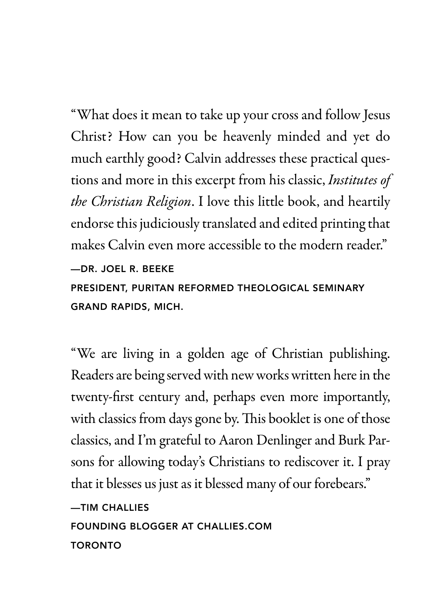"What does it mean to take up your cross and follow Jesus Christ? How can you be heavenly minded and yet do much earthly good? Calvin addresses these practical questions and more in this excerpt from his classic, *Institutes of the Christian Religion*. I love this little book, and heartily endorse this judiciously translated and edited printing that makes Calvin even more accessible to the modern reader." —DR. JOEL R. BEEKE PRESIDENT, PURITAN REFORMED THEOLOGICAL SEMINARY GRAND RAPIDS, MICH.

"We are living in a golden age of Christian publishing. Readers are being served with new works written here in the twenty-frst century and, perhaps even more importantly, with classics from days gone by. This booklet is one of those classics, and I'm grateful to Aaron Denlinger and Burk Parsons for allowing today's Christians to rediscover it. I pray that it blesses us just as it blessed many of our forebears."

—TIM CHALLIES FOUNDING BLOGGER AT CHALLIES.COM TORONTO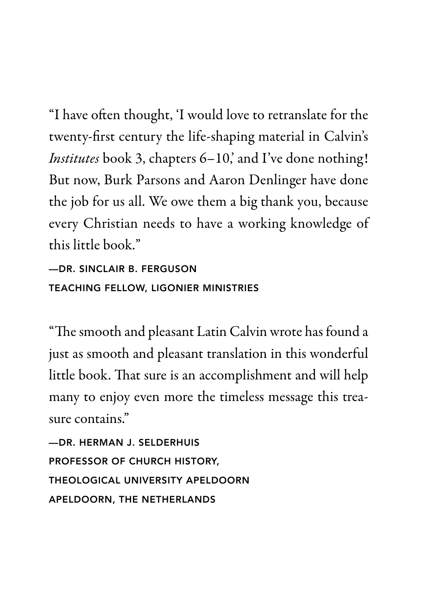"I have ofen thought, 'I would love to retranslate for the twenty-frst century the life-shaping material in Calvin's *Institutes* book 3, chapters 6–10, and I've done nothing! But now, Burk Parsons and Aaron Denlinger have done the job for us all. We owe them a big thank you, because every Christian needs to have a working knowledge of this little book."

—DR. SINCLAIR B. FERGUSON TEACHING FELLOW, LIGONIER MINISTRIES

"The smooth and pleasant Latin Calvin wrote has found a just as smooth and pleasant translation in this wonderful little book. That sure is an accomplishment and will help many to enjoy even more the timeless message this treasure contains."

—DR. HERMAN J. SELDERHUIS PROFESSOR OF CHURCH HISTORY, THEOLOGICAL UNIVERSITY APELDOORN APELDOORN, THE NETHERLANDS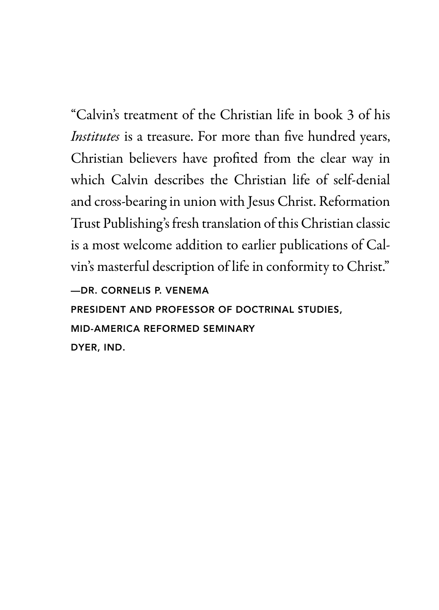"Calvin's treatment of the Christian life in book 3 of his *Institutes* is a treasure. For more than five hundred years, Christian believers have profted from the clear way in which Calvin describes the Christian life of self-denial and cross-bearing in union with Jesus Christ. Reformation Trust Publishing's fresh translation of this Christian classic is a most welcome addition to earlier publications of Calvin's masterful description of life in conformity to Christ."

—DR. CORNELIS P. VENEMA

PRESIDENT AND PROFESSOR OF DOCTRINAL STUDIES,

MID-AMERICA REFORMED SEMINARY

DYER, IND.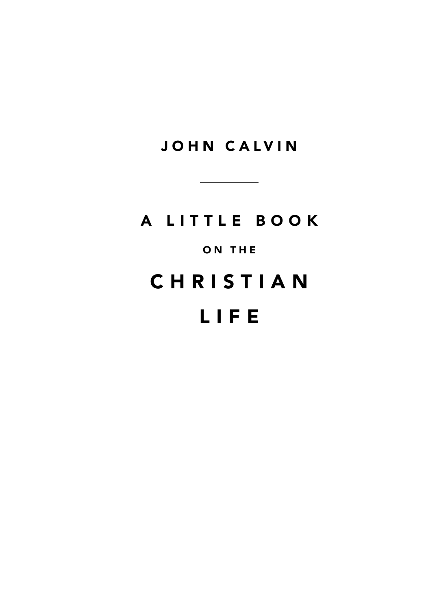JOHN CALVIN

# A LITTLE BOOK ON THE **CHRISTIAN** LIFE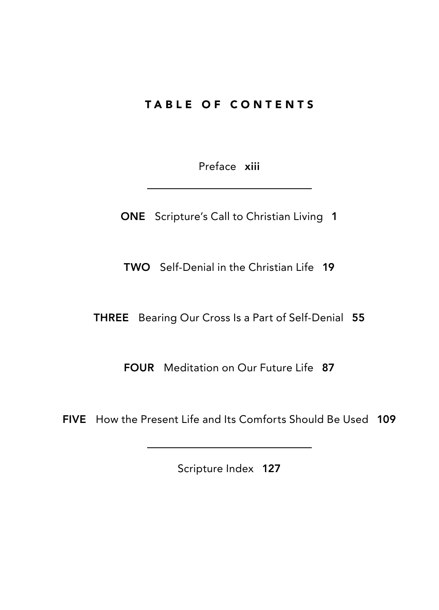## TABLE OF CONTENTS

Preface xiii

ONE Scripture's Call to Christian Living 1

TWO Self-Denial in the Christian Life 19

THREE Bearing Our Cross Is a Part of Self-Denial 55

FOUR Meditation on Our Future Life 87

FIVE How the Present Life and Its Comforts Should Be Used 109

Scripture Index 127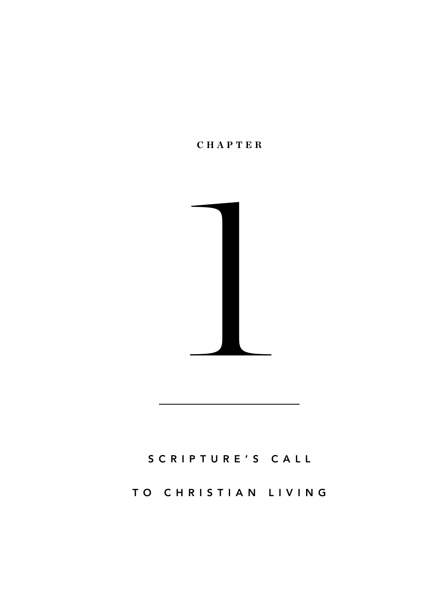



# S C R I P T U R E ' S C A L L

### TO CHRISTIAN LIVING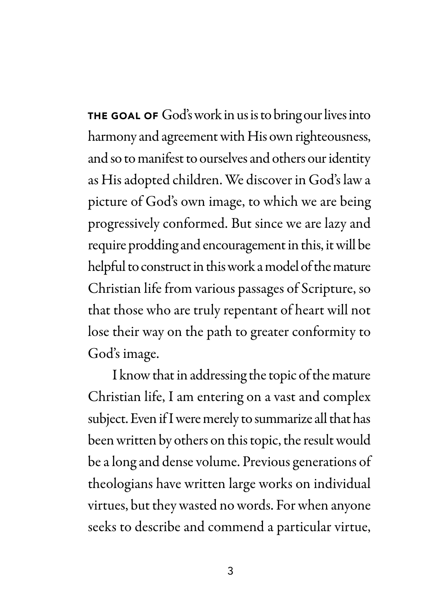THE GOAL OF God's work in us is to bring our lives into harmony and agreement with His own righteousness, and so to manifest to ourselves and others our identity as His adopted children. We discover in God's law a picture of God's own image, to which we are being progressively conformed. But since we are lazy and require prodding and encouragement in this, it will be helpful to construct in this work a model of the mature Christian life from various passages of Scripture, so that those who are truly repentant of heart will not lose their way on the path to greater conformity to God's image.

I know that in addressing the topic of the mature Christian life, I am entering on a vast and complex subject. Even if I were merely to summarize all that has been written by others on this topic, the result would be a long and dense volume. Previous generations of theologians have written large works on individual virtues, but they wasted no words. For when anyone seeks to describe and commend a particular virtue,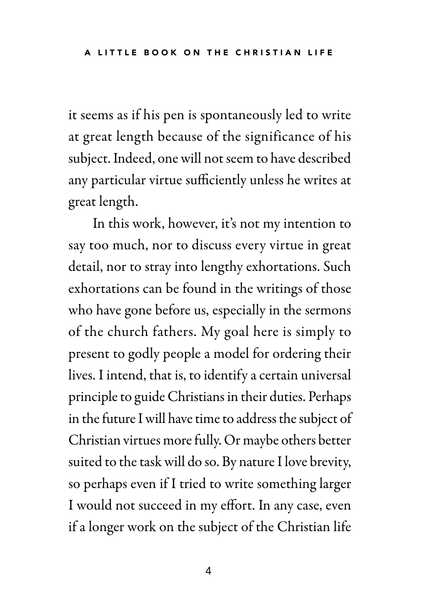it seems as if his pen is spontaneously led to write at great length because of the significance of his subject. Indeed, one will not seem to have described any particular virtue sufficiently unless he writes at great length.

In this work, however, it's not my intention to say too much, nor to discuss every virtue in great detail, nor to stray into lengthy exhortations. Such exhortations can be found in the writings of those who have gone before us, especially in the sermons of the church fathers. My goal here is simply to present to godly people a model for ordering their lives. I intend, that is, to identify a certain universal principle to guide Christians in their duties. Perhaps in the future I will have time to address the subject of Christian virtues more fully. Or maybe others better suited to the task will do so. By nature I love brevity, so perhaps even if I tried to write something larger I would not succeed in my effort. In any case, even if a longer work on the subject of the Christian life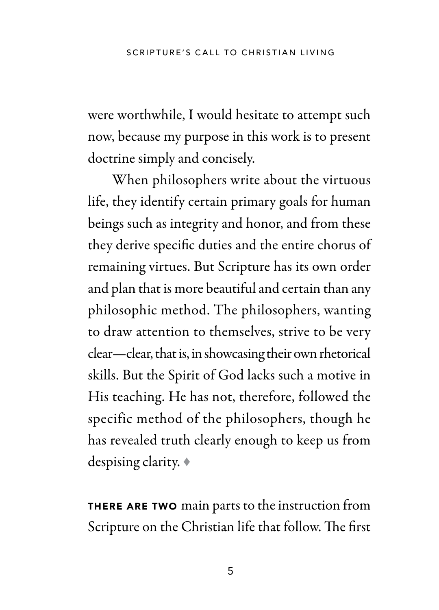were worthwhile, I would hesitate to attempt such now, because my purpose in this work is to present doctrine simply and concisely.

When philosophers write about the virtuous life, they identify certain primary goals for human beings such as integrity and honor, and from these they derive specifc duties and the entire chorus of remaining virtues. But Scripture has its own order and plan that is more beautiful and certain than any philosophic method. The philosophers, wanting to draw attention to themselves, strive to be very clear—clear, that is, in showcasing their own rhetorical skills. But the Spirit of God lacks such a motive in His teaching. He has not, therefore, followed the specific method of the philosophers, though he has revealed truth clearly enough to keep us from despising clarity. ♦

THERE ARE TWO main parts to the instruction from Scripture on the Christian life that follow. The first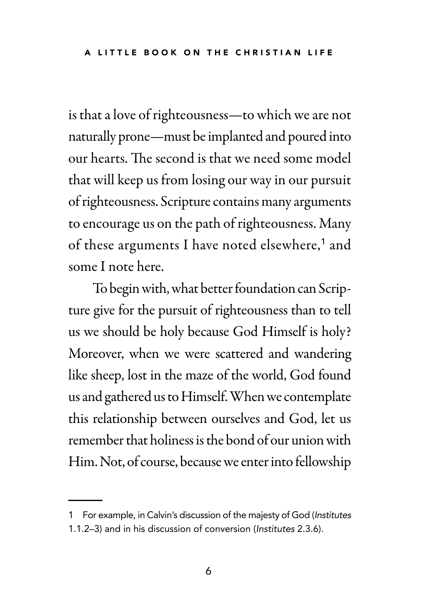is that a love of righteousness—to which we are not naturally prone—must be implanted and poured into our hearts. The second is that we need some model that will keep us from losing our way in our pursuit of righteousness. Scripture contains many arguments to encourage us on the path of righteousness. Many of these arguments I have noted elsewhere,<sup>1</sup> and some I note here.

To begin with, what better foundation can Scripture give for the pursuit of righteousness than to tell us we should be holy because God Himself is holy? Moreover, when we were scattered and wandering like sheep, lost in the maze of the world, God found us and gathered us to Himself. When we contemplate this relationship between ourselves and God, let us remember that holiness is the bond of our union with Him. Not, of course, because we enter into fellowship

<sup>1</sup> For example, in Calvin's discussion of the majesty of God (Institutes 1.1.2–3) and in his discussion of conversion (Institutes 2.3.6).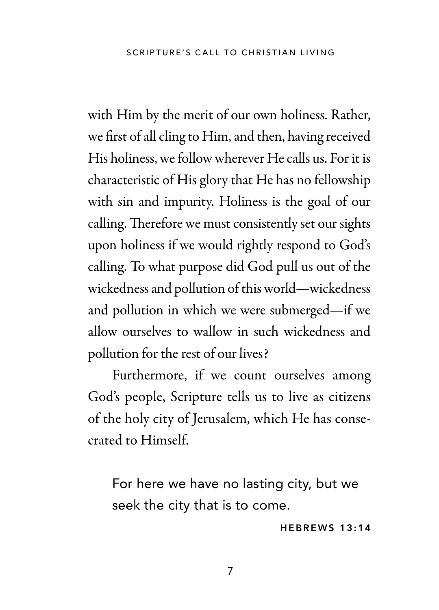with Him by the merit of our own holiness. Rather, we frst of all cling to Him, and then, having received His holiness, we follow wherever He calls us. For it is characteristic of His glory that He has no fellowship with sin and impurity. Holiness is the goal of our calling. Therefore we must consistently set our sights upon holiness if we would rightly respond to God's calling. To what purpose did God pull us out of the wickedness and pollution of this world—wickedness and pollution in which we were submerged—if we allow ourselves to wallow in such wickedness and pollution for the rest of our lives?

Furthermore, if we count ourselves among God's people, Scripture tells us to live as citizens of the holy city of Jerusalem, which He has consecrated to Himself.

For here we have no lasting city, but we seek the city that is to come.

#### HEBREWS 13:14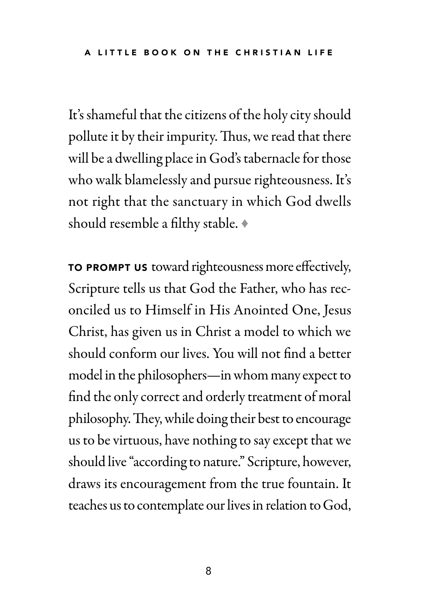It's shameful that the citizens of the holy city should pollute it by their impurity. Thus, we read that there will be a dwelling place in God's tabernacle for those who walk blamelessly and pursue righteousness. It's not right that the sanctuary in which God dwells should resemble a flthy stable. ♦

TO PROMPT US toward righteousness more efectively, Scripture tells us that God the Father, who has reconciled us to Himself in His Anointed One, Jesus Christ, has given us in Christ a model to which we should conform our lives. You will not fnd a better model in the philosophers—in whom many expect to fnd the only correct and orderly treatment of moral philosophy. They, while doing their best to encourage us to be virtuous, have nothing to say except that we should live "according to nature." Scripture, however, draws its encouragement from the true fountain. It teaches us to contemplate our lives in relation to God,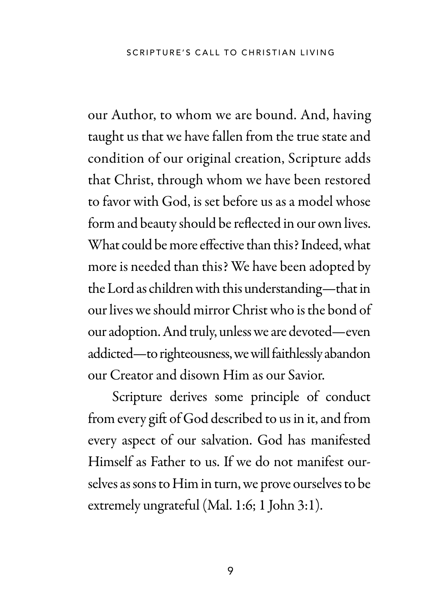our Author, to whom we are bound. And, having taught us that we have fallen from the true state and condition of our original creation, Scripture adds that Christ, through whom we have been restored to favor with God, is set before us as a model whose form and beauty should be refected in our own lives. What could be more efective than this? Indeed, what more is needed than this? We have been adopted by the Lord as children with this understanding—that in our lives we should mirror Christ who is the bond of our adoption. And truly, unless we are devoted—even addicted—to righteousness, we will faithlessly abandon our Creator and disown Him as our Savior.

Scripture derives some principle of conduct from every gift of God described to us in it, and from every aspect of our salvation. God has manifested Himself as Father to us. If we do not manifest ourselves as sons to Him in turn, we prove ourselves to be extremely ungrateful (Mal. 1:6; 1 John 3:1).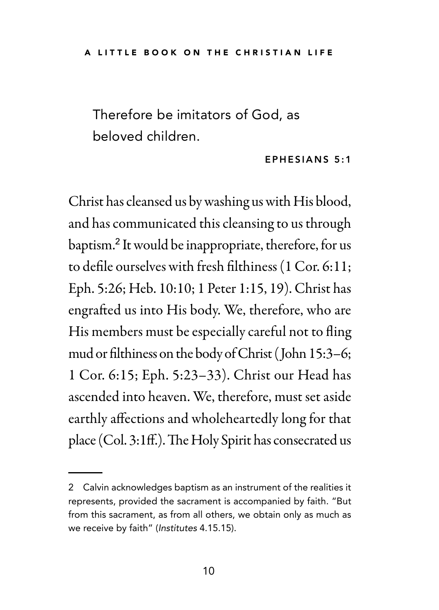Therefore be imitators of God, as beloved children.

#### EPHESIANS 5:1

Christ has cleansed us by washing us with His blood, and has communicated this cleansing to us through baptism.<sup>2</sup> It would be inappropriate, therefore, for us to defle ourselves with fresh flthiness (1 Cor. 6:11; Eph. 5:26; Heb. 10:10; 1 Peter 1:15, 19). Christ has engrafed us into His body. We, therefore, who are His members must be especially careful not to fing mud or flthiness on the body of Christ (John 15:3–6; 1 Cor. 6:15; Eph. 5:23–33). Christ our Head has ascended into heaven. We, therefore, must set aside earthly afections and wholeheartedly long for that place (Col. 3:1ff.). The Holy Spirit has consecrated us

<sup>2</sup> Calvin acknowledges baptism as an instrument of the realities it represents, provided the sacrament is accompanied by faith. "But from this sacrament, as from all others, we obtain only as much as we receive by faith" (Institutes 4.15.15).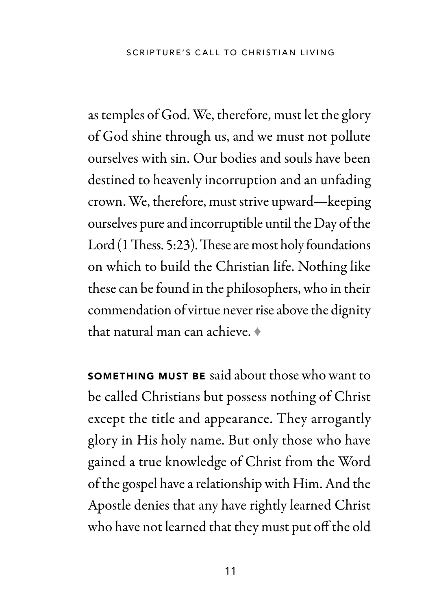SCRIPTURE'S CALL TO CHRISTIAN LIVING

as temples of God. We, therefore, must let the glory of God shine through us, and we must not pollute ourselves with sin. Our bodies and souls have been destined to heavenly incorruption and an unfading crown. We, therefore, must strive upward—keeping ourselves pure and incorruptible until the Day of the Lord (1 Thess. 5:23). These are most holy foundations on which to build the Christian life. Nothing like these can be found in the philosophers, who in their commendation of virtue never rise above the dignity that natural man can achieve. ♦

SOMETHING MUST BE said about those who want to be called Christians but possess nothing of Christ except the title and appearance. They arrogantly glory in His holy name. But only those who have gained a true knowledge of Christ from the Word of the gospel have a relationship with Him. And the Apostle denies that any have rightly learned Christ who have not learned that they must put off the old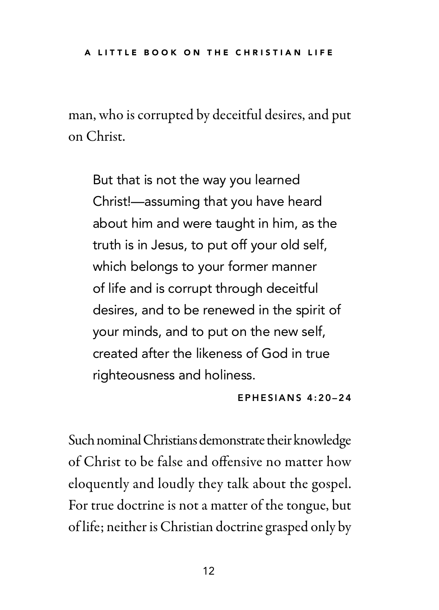man, who is corrupted by deceitful desires, and put on Christ.

But that is not the way you learned Christ!—assuming that you have heard about him and were taught in him, as the truth is in Jesus, to put off your old self, which belongs to your former manner of life and is corrupt through deceitful desires, and to be renewed in the spirit of your minds, and to put on the new self, created after the likeness of God in true righteousness and holiness.

#### EPHESIANS 4:20–24

Such nominal Christians demonstrate their knowledge of Christ to be false and ofensive no matter how eloquently and loudly they talk about the gospel. For true doctrine is not a matter of the tongue, but of life; neither is Christian doctrine grasped only by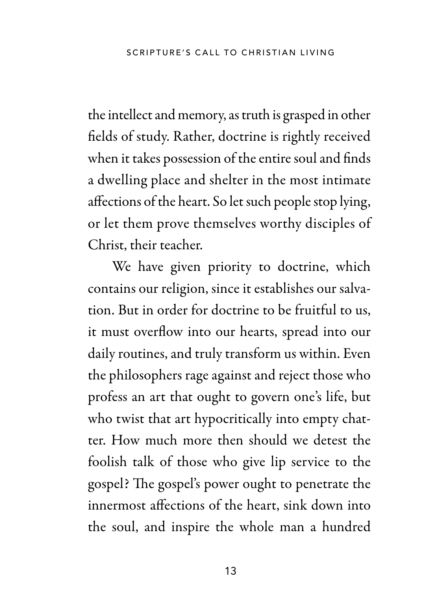the intellect and memory, as truth is grasped in other felds of study. Rather, doctrine is rightly received when it takes possession of the entire soul and fnds a dwelling place and shelter in the most intimate afections of the heart. So let such people stop lying, or let them prove themselves worthy disciples of Christ, their teacher.

We have given priority to doctrine, which contains our religion, since it establishes our salvation. But in order for doctrine to be fruitful to us, it must overfow into our hearts, spread into our daily routines, and truly transform us within. Even the philosophers rage against and reject those who profess an art that ought to govern one's life, but who twist that art hypocritically into empty chatter. How much more then should we detest the foolish talk of those who give lip service to the gospel? The gospel's power ought to penetrate the innermost afections of the heart, sink down into the soul, and inspire the whole man a hundred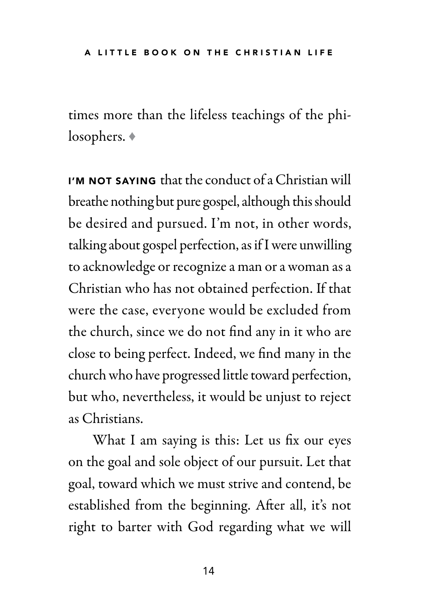times more than the lifeless teachings of the philosophers. ♦

I'M NOT SAYING that the conduct of a Christian will breathe nothing but pure gospel, although this should be desired and pursued. I'm not, in other words, talking about gospel perfection, as if I were unwilling to acknowledge or recognize a man or a woman as a Christian who has not obtained perfection. If that were the case, everyone would be excluded from the church, since we do not fnd any in it who are close to being perfect. Indeed, we fnd many in the church who have progressed little toward perfection, but who, nevertheless, it would be unjust to reject as Christians.

What I am saying is this: Let us fix our eyes on the goal and sole object of our pursuit. Let that goal, toward which we must strive and contend, be established from the beginning. Afer all, it's not right to barter with God regarding what we will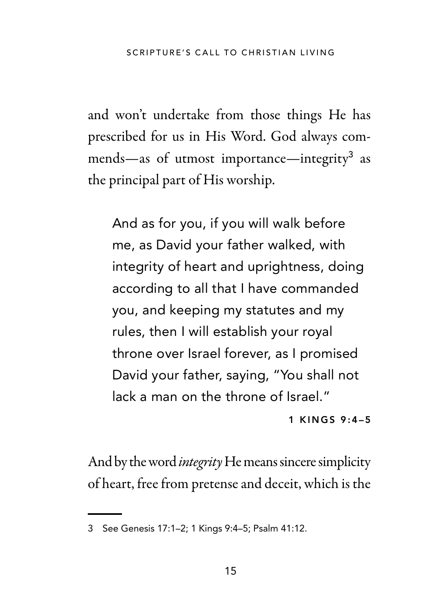and won't undertake from those things He has prescribed for us in His Word. God always commends—as of utmost importance—integrity<sup>3</sup> as the principal part of His worship.

And as for you, if you will walk before me, as David your father walked, with integrity of heart and uprightness, doing according to all that I have commanded you, and keeping my statutes and my rules, then I will establish your royal throne over Israel forever, as I promised David your father, saying, "You shall not lack a man on the throne of Israel."

#### 1 KINGS 9:4–5

And by the word *integrity* He means sincere simplicity of heart, free from pretense and deceit, which is the

<sup>3</sup> See Genesis 17:1–2; 1 Kings 9:4–5; Psalm 41:12.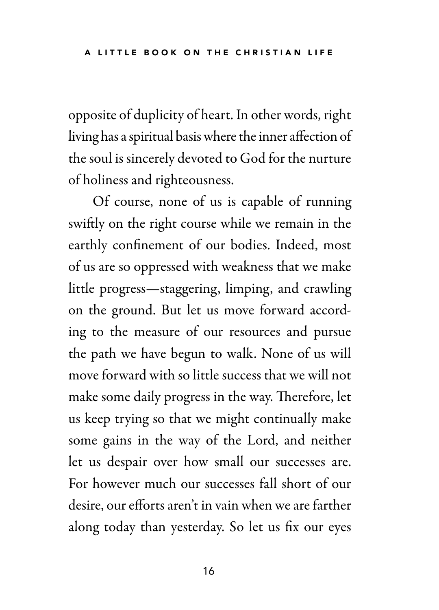opposite of duplicity of heart. In other words, right living has a spiritual basis where the inner afection of the soul is sincerely devoted to God for the nurture of holiness and righteousness.

Of course, none of us is capable of running swifly on the right course while we remain in the earthly confnement of our bodies. Indeed, most of us are so oppressed with weakness that we make little progress—staggering, limping, and crawling on the ground. But let us move forward according to the measure of our resources and pursue the path we have begun to walk. None of us will move forward with so little success that we will not make some daily progress in the way. Therefore, let us keep trying so that we might continually make some gains in the way of the Lord, and neither let us despair over how small our successes are. For however much our successes fall short of our desire, our efforts aren't in vain when we are farther along today than yesterday. So let us fx our eyes